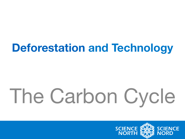#### **Deforestation and Technology**

# The Carbon Cycle

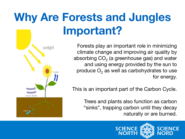## **Why Are Forests and Jungles Important?**

Forests play an important role in minimizing climate change and improving air quality by absorbing  $CO<sub>2</sub>$  (a greenhouse gas) and water and using energy provided by the sun to produce  $O<sub>2</sub>$  as well as carbohydrates to use for energy.

This is an important part of the Carbon Cycle.

Trees and plants also function as carbon "sinks", trapping carbon until they decay naturally or are burned.



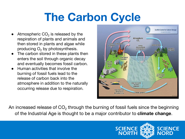#### **The Carbon Cycle**

- Atmospheric  $CO<sub>2</sub>$  is released by the respiration of plants and animals and then stored in plants and algae while producing  $O<sub>2</sub>$  by photosynthesis.
- The carbon stored in these plants then enters the soil through organic decay and eventually becomes fossil carbon.
- **Human activities that involve the** burning of fossil fuels lead to the release of carbon back into the atmosphere in addition to the naturally occurring release due to respiration.



An increased release of  $CO<sub>2</sub>$  through the burning of fossil fuels since the beginning of the Industrial Age is thought to be a major contributor to **climate change**.

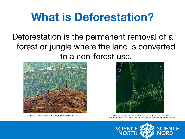#### **What is Deforestation?**

Deforestation is the permanent removal of a forest or jungle where the land is converted to a non-forest use.





https://www.flickr.com/photos/10565417@N03/6246541918/in/photostream/ maxional amazonie deforestation". Licensed under Public Domain via Wikimedia Commons - https:// commons.wikimedia.org/wiki/File:Amazonie\_deforestation.jpg#/media/File:Amazonie\_deforestation.jpg

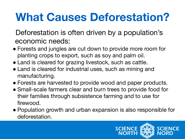#### **What Causes Deforestation?**

Deforestation is often driven by a population's economic needs:

- Forests and jungles are cut down to provide more room for planting crops to export, such as soy and palm oil.
- Land is cleared for grazing livestock, such as cattle.
- Land is cleared for industrial uses, such as mining and manufacturing.
- Forests are harvested to provide wood and paper products.
- Small-scale farmers clear and burn trees to provide food for their families through subsistence farming and to use for firewood.
- Population growth and urban expansion is also responsible for deforestation.